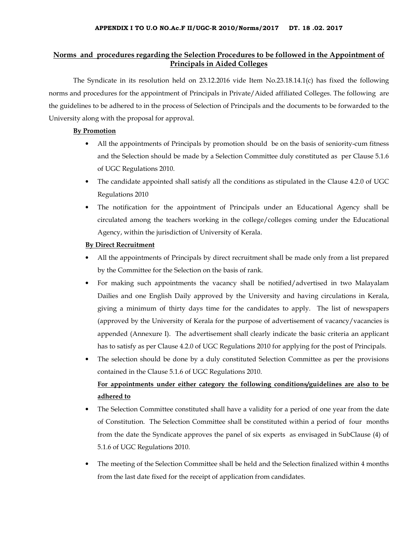# Norms and procedures regarding the Selection Procedures to be followed in the Appointment of Principals in Aided Colleges

 The Syndicate in its resolution held on 23.12.2016 vide Item No.23.18.14.1(c) has fixed the following norms and procedures for the appointment of Principals in Private/Aided affiliated Colleges. The following are the guidelines to be adhered to in the process of Selection of Principals and the documents to be forwarded to the University along with the proposal for approval.

#### By Promotion

- All the appointments of Principals by promotion should be on the basis of seniority-cum fitness and the Selection should be made by a Selection Committee duly constituted as per Clause 5.1.6 of UGC Regulations 2010.
- The candidate appointed shall satisfy all the conditions as stipulated in the Clause 4.2.0 of UGC Regulations 2010
- The notification for the appointment of Principals under an Educational Agency shall be circulated among the teachers working in the college/colleges coming under the Educational Agency, within the jurisdiction of University of Kerala.

### By Direct Recruitment

- All the appointments of Principals by direct recruitment shall be made only from a list prepared by the Committee for the Selection on the basis of rank.
- For making such appointments the vacancy shall be notified/advertised in two Malayalam Dailies and one English Daily approved by the University and having circulations in Kerala, giving a minimum of thirty days time for the candidates to apply. The list of newspapers (approved by the University of Kerala for the purpose of advertisement of vacancy/vacancies is appended (Annexure I). The advertisement shall clearly indicate the basic criteria an applicant has to satisfy as per Clause 4.2.0 of UGC Regulations 2010 for applying for the post of Principals.
- The selection should be done by a duly constituted Selection Committee as per the provisions contained in the Clause 5.1.6 of UGC Regulations 2010. For appointments under either category the following conditions/guidelines are also to be adhered to
- The Selection Committee constituted shall have a validity for a period of one year from the date of Constitution. The Selection Committee shall be constituted within a period of four months from the date the Syndicate approves the panel of six experts as envisaged in SubClause (4) of 5.1.6 of UGC Regulations 2010.
- The meeting of the Selection Committee shall be held and the Selection finalized within 4 months from the last date fixed for the receipt of application from candidates.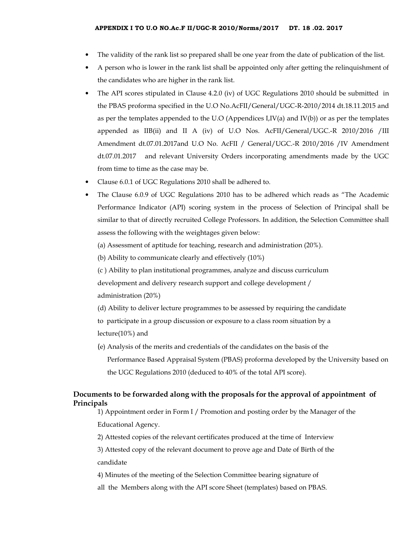- The validity of the rank list so prepared shall be one year from the date of publication of the list.
- A person who is lower in the rank list shall be appointed only after getting the relinquishment of the candidates who are higher in the rank list.
- The API scores stipulated in Clause 4.2.0 (iv) of UGC Regulations 2010 should be submitted in the PBAS proforma specified in the U.O No.AcFII/General/UGC-R-2010/2014 dt.18.11.2015 and as per the templates appended to the U.O (Appendices I,IV(a) and IV(b)) or as per the templates appended as IIB(ii) and II A (iv) of U.O Nos. AcFII/General/UGC.-R 2010/2016 /III Amendment dt.07.01.2017and U.O No. AcFII / General/UGC.-R 2010/2016 /IV Amendment dt.07.01.2017 and relevant University Orders incorporating amendments made by the UGC from time to time as the case may be.
- Clause 6.0.1 of UGC Regulations 2010 shall be adhered to.
- The Clause 6.0.9 of UGC Regulations 2010 has to be adhered which reads as "The Academic Performance Indicator (API) scoring system in the process of Selection of Principal shall be similar to that of directly recruited College Professors. In addition, the Selection Committee shall assess the following with the weightages given below:
	- (a) Assessment of aptitude for teaching, research and administration (20%).
	- (b) Ability to communicate clearly and effectively (10%)
	- (c ) Ability to plan institutional programmes, analyze and discuss curriculum

development and delivery research support and college development /

administration (20%)

(d) Ability to deliver lecture programmes to be assessed by requiring the candidate

to participate in a group discussion or exposure to a class room situation by a lecture(10%) and

- (e) Analysis of the merits and credentials of the candidates on the basis of the
	- Performance Based Appraisal System (PBAS) proforma developed by the University based on the UGC Regulations 2010 (deduced to 40% of the total API score).

# Documents to be forwarded along with the proposals for the approval of appointment of Principals

1) Appointment order in Form I / Promotion and posting order by the Manager of the Educational Agency.

2) Attested copies of the relevant certificates produced at the time of Interview

3) Attested copy of the relevant document to prove age and Date of Birth of the candidate

4) Minutes of the meeting of the Selection Committee bearing signature of

all the Members along with the API score Sheet (templates) based on PBAS.